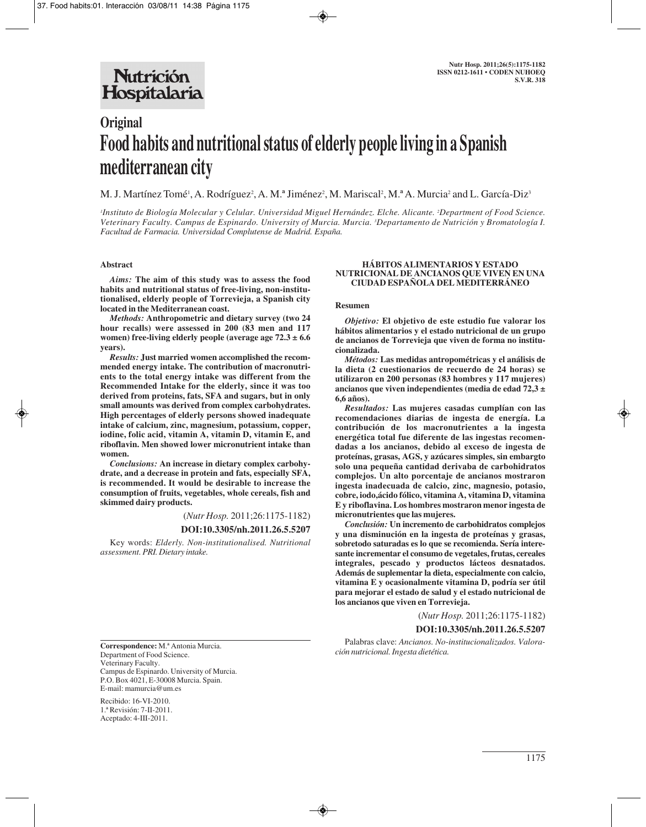## **Nutrición** Hospitalaria

# **Original Food habits and nutritional status of elderly people living in a Spanish mediterranean city**

M. J. Martínez Tomé', A. Rodríguez<sup>2</sup>, A. M.ª Jiménez<sup>2</sup>, M. Mariscal<sup>2</sup>, M.ª A. Murcia<sup>2</sup> and L. García-Diz<sup>3</sup>

*1 Instituto de Biología Molecular y Celular. Universidad Miguel Hernández. Elche. Alicante. 2 Department of Food Science. Veterinary Faculty. Campus de Espinardo. University of Murcia. Murcia. 3 Departamento de Nutrición y Bromatología I. Facultad de Farmacia. Universidad Complutense de Madrid. España.*

#### **Abstract**

*Aims:* **The aim of this study was to assess the food habits and nutritional status of free-living, non-institutionalised, elderly people of Torrevieja, a Spanish city located in the Mediterranean coast.**

*Methods:* **Anthropometric and dietary survey (two 24 hour recalls) were assessed in 200 (83 men and 117 women) free-living elderly people (average age 72.3 ± 6.6 years).**

*Results:* **Just married women accomplished the recommended energy intake. The contribution of macronutrients to the total energy intake was different from the Recommended Intake for the elderly, since it was too derived from proteins, fats, SFA and sugars, but in only small amounts was derived from complex carbohydrates. High percentages of elderly persons showed inadequate intake of calcium, zinc, magnesium, potassium, copper, iodine, folic acid, vitamin A, vitamin D, vitamin E, and riboflavin. Men showed lower micronutrient intake than women.**

*Conclusions:* **An increase in dietary complex carbohydrate, and a decrease in protein and fats, especially SFA, is recommended. It would be desirable to increase the consumption of fruits, vegetables, whole cereals, fish and skimmed dairy products.**

(*Nutr Hosp.* 2011;26:1175-1182)

#### **DOI:10.3305/nh.2011.26.5.5207**

Key words: *Elderly. Non-institutionalised. Nutritional assessment. PRI. Dietary intake.*

#### **HÁBITOS ALIMENTARIOS Y ESTADO NUTRICIONAL DE ANCIANOS QUE VIVEN EN UNA CIUDAD ESPAÑOLA DEL MEDITERRÁNEO**

#### **Resumen**

*Objetivo:* **El objetivo de este estudio fue valorar los hábitos alimentarios y el estado nutricional de un grupo de ancianos de Torrevieja que viven de forma no institucionalizada.** 

*Métodos:* **Las medidas antropométricas y el análisis de la dieta (2 cuestionarios de recuerdo de 24 horas) se utilizaron en 200 personas (83 hombres y 117 mujeres) ancianos que viven independientes (media de edad 72,3 ± 6,6 años).** 

*Resultados:* **Las mujeres casadas cumplían con las recomendaciones diarias de ingesta de energía. La contribución de los macronutrientes a la ingesta energética total fue diferente de las ingestas recomendadas a los ancianos, debido al exceso de ingesta de proteínas, grasas, AGS, y azúcares simples, sin embargto solo una pequeña cantidad derivaba de carbohidratos complejos. Un alto porcentaje de ancianos mostraron ingesta inadecuada de calcio, zinc, magnesio, potasio, cobre, iodo,ácido fólico, vitamina A, vitamina D, vitamina E y riboflavina. Los hombres mostraron menor ingesta de micronutrientes que las mujeres.** 

*Conclusión:* **Un incremento de carbohidratos complejos y una disminución en la ingesta de proteínas y grasas, sobretodo saturadas es lo que se recomienda. Sería interesante incrementar el consumo de vegetales, frutas, cereales integrales, pescado y productos lácteos desnatados. Además de suplementar la dieta, especialmente con calcio, vitamina E y ocasionalmente vitamina D, podría ser útil para mejorar el estado de salud y el estado nutricional de los ancianos que viven en Torrevieja.**

(*Nutr Hosp.* 2011;26:1175-1182)

## **DOI:10.3305/nh.2011.26.5.5207**

Palabras clave: *Ancianos. No-institucionalizados. Valoración nutricional. Ingesta dietética.*

**Correspondence:** M.ª Antonia Murcia. Department of Food Science. Veterinary Faculty. Campus de Espinardo. University of Murcia. P.O. Box 4021, E-30008 Murcia. Spain. E-mail: mamurcia@um.es

Recibido: 16-VI-2010. 1.ª Revisión: 7-II-2011. Aceptado: 4-III-2011.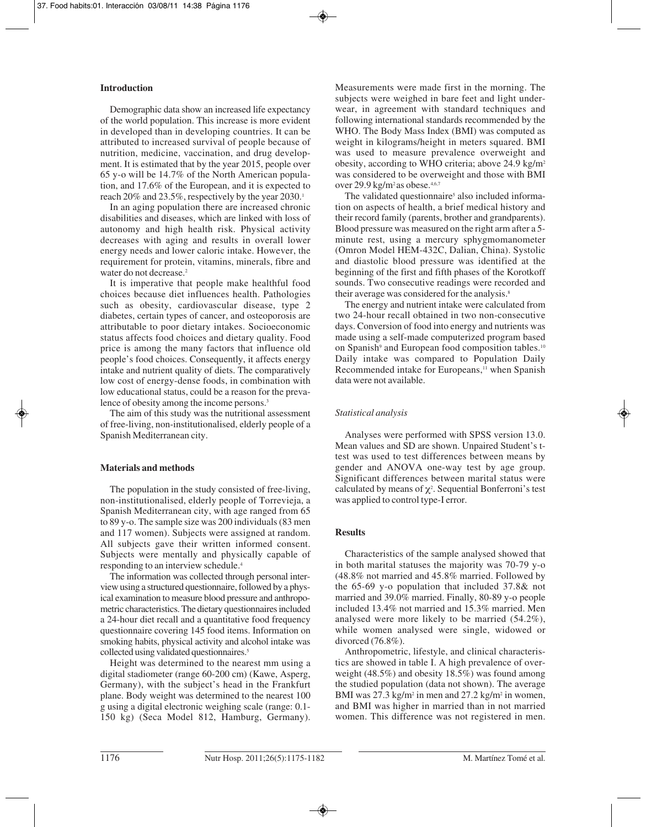## **Introduction**

Demographic data show an increased life expectancy of the world population. This increase is more evident in developed than in developing countries. It can be attributed to increased survival of people because of nutrition, medicine, vaccination, and drug development. It is estimated that by the year 2015, people over 65 y-o will be 14.7% of the North American population, and 17.6% of the European, and it is expected to reach 20% and 23.5%, respectively by the year 2030.<sup>1</sup>

In an aging population there are increased chronic disabilities and diseases, which are linked with loss of autonomy and high health risk. Physical activity decreases with aging and results in overall lower energy needs and lower caloric intake. However, the requirement for protein, vitamins, minerals, fibre and water do not decrease.<sup>2</sup>

It is imperative that people make healthful food choices because diet influences health. Pathologies such as obesity, cardiovascular disease, type 2 diabetes, certain types of cancer, and osteoporosis are attributable to poor dietary intakes. Socioeconomic status affects food choices and dietary quality. Food price is among the many factors that influence old people's food choices. Consequently, it affects energy intake and nutrient quality of diets. The comparatively low cost of energy-dense foods, in combination with low educational status, could be a reason for the prevalence of obesity among the income persons.<sup>3</sup>

The aim of this study was the nutritional assessment of free-living, non-institutionalised, elderly people of a Spanish Mediterranean city.

## **Materials and methods**

The population in the study consisted of free-living, non-institutionalised, elderly people of Torrevieja, a Spanish Mediterranean city, with age ranged from 65 to 89 y-o. The sample size was 200 individuals (83 men and 117 women). Subjects were assigned at random. All subjects gave their written informed consent. Subjects were mentally and physically capable of responding to an interview schedule.4

The information was collected through personal interview using a structured questionnaire, followed by a physical examination to measure blood pressure and anthropometric characteristics. The dietary questionnaires included a 24-hour diet recall and a quantitative food frequency questionnaire covering 145 food items. Information on smoking habits, physical activity and alcohol intake was collected using validated questionnaires.<sup>5</sup>

Height was determined to the nearest mm using a digital stadiometer (range 60-200 cm) (Kawe, Asperg, Germany), with the subject's head in the Frankfurt plane. Body weight was determined to the nearest 100 g using a digital electronic weighing scale (range: 0.1- 150 kg) (Seca Model 812, Hamburg, Germany).

Measurements were made first in the morning. The subjects were weighed in bare feet and light underwear, in agreement with standard techniques and following international standards recommended by the WHO. The Body Mass Index (BMI) was computed as weight in kilograms/height in meters squared. BMI was used to measure prevalence overweight and obesity, according to WHO criteria; above 24.9 kg/m2 was considered to be overweight and those with BMI over 29.9 kg/m<sup>2</sup> as obese.<sup>4,6,7</sup>

The validated questionnaire<sup>5</sup> also included information on aspects of health, a brief medical history and their record family (parents, brother and grandparents). Blood pressure was measured on the right arm after a 5 minute rest, using a mercury sphygmomanometer (Omron Model HEM-432C, Dalian, China). Systolic and diastolic blood pressure was identified at the beginning of the first and fifth phases of the Korotkoff sounds. Two consecutive readings were recorded and their average was considered for the analysis.<sup>8</sup>

The energy and nutrient intake were calculated from two 24-hour recall obtained in two non-consecutive days. Conversion of food into energy and nutrients was made using a self-made computerized program based on Spanish<sup>9</sup> and European food composition tables.<sup>10</sup> Daily intake was compared to Population Daily Recommended intake for Europeans,<sup>11</sup> when Spanish data were not available.

## *Statistical analysis*

Analyses were performed with SPSS version 13.0. Mean values and SD are shown. Unpaired Student's ttest was used to test differences between means by gender and ANOVA one-way test by age group. Significant differences between marital status were calculated by means of  $\chi^2$ . Sequential Bonferroni's test was applied to control type-I error.

## **Results**

Characteristics of the sample analysed showed that in both marital statuses the majority was 70-79 y-o (48.8% not married and 45.8% married. Followed by the 65-69 y-o population that included 37.8& not married and 39.0% married. Finally, 80-89 y-o people included 13.4% not married and 15.3% married. Men analysed were more likely to be married (54.2%), while women analysed were single, widowed or divorced (76.8%).

Anthropometric, lifestyle, and clinical characteristics are showed in table I. A high prevalence of overweight (48.5%) and obesity 18.5%) was found among the studied population (data not shown). The average BMI was  $27.3 \text{ kg/m}^2$  in men and  $27.2 \text{ kg/m}^2$  in women, and BMI was higher in married than in not married women. This difference was not registered in men.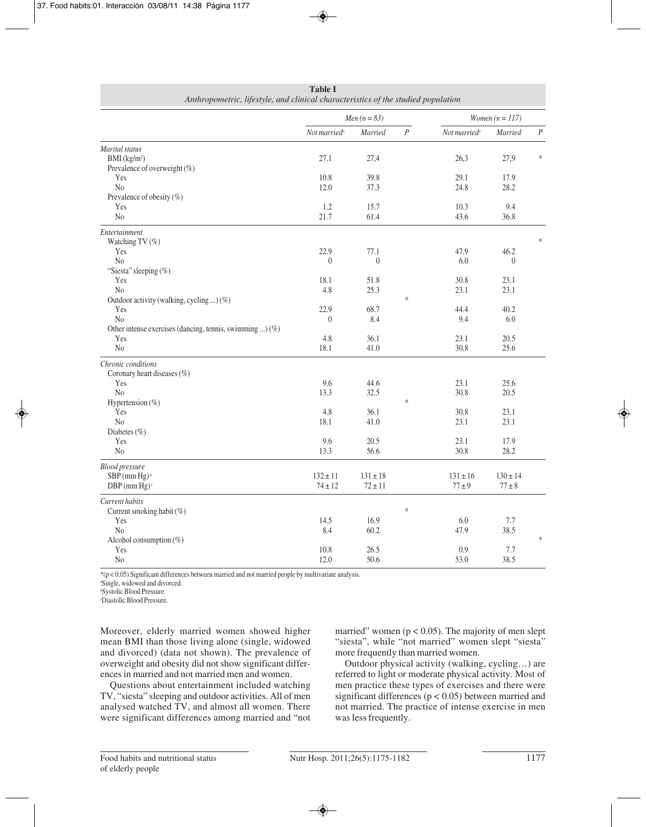|                                                             |                          | <i>Men</i> $(n = 83)$ | Women $(n = 117)$ |                          |                  |          |  |  |
|-------------------------------------------------------------|--------------------------|-----------------------|-------------------|--------------------------|------------------|----------|--|--|
|                                                             | Not married <sup>a</sup> | Married               | $\cal P$          | Not married <sup>a</sup> | Married          | $\cal P$ |  |  |
| Marital status                                              |                          |                       |                   |                          |                  |          |  |  |
| BMI (kg/m <sup>2</sup> )                                    | 27.1                     | 27,4                  |                   | 26,3                     | 27,9             | $\ast$   |  |  |
| Prevalence of overweight (%)                                |                          |                       |                   |                          |                  |          |  |  |
| Yes                                                         | 10.8                     | 39.8                  |                   | 29.1                     | 17.9             |          |  |  |
| No                                                          | 12.0                     | 37.3                  |                   | 24.8                     | 28.2             |          |  |  |
| Prevalence of obesity (%)                                   |                          |                       |                   |                          |                  |          |  |  |
| Yes                                                         | 1.2                      | 15.7                  |                   | 10.3                     | 9.4              |          |  |  |
| N <sub>0</sub>                                              | 21.7                     | 61.4                  |                   | 43.6                     | 36.8             |          |  |  |
| Entertainment                                               |                          |                       |                   |                          |                  |          |  |  |
| Watching TV (%)                                             |                          |                       |                   |                          |                  | $\ast$   |  |  |
| Yes                                                         | 22.9                     | 77.1                  |                   | 47.9                     | 46.2             |          |  |  |
| No                                                          | $\theta$                 | $\boldsymbol{0}$      |                   | 6.0                      | $\boldsymbol{0}$ |          |  |  |
| "Siesta" sleeping (%)                                       |                          |                       |                   |                          |                  |          |  |  |
| Yes                                                         | 18.1                     | 51.8                  |                   | 30.8                     | 23.1             |          |  |  |
| No                                                          | 4.8                      | 25.3                  |                   | 23.1                     | 23.1             |          |  |  |
| Outdoor activity (walking, cycling ) (%)                    |                          |                       | $\ast$            |                          |                  |          |  |  |
| Yes                                                         | 22.9                     | 68.7                  |                   | 44.4                     | 40.2             |          |  |  |
| No                                                          | $\theta$                 | 8.4                   |                   | 9.4                      | 6.0              |          |  |  |
| Other intense exercises (dancing, tennis, swimming ) $(\%)$ |                          |                       |                   |                          |                  |          |  |  |
| Yes                                                         | 4.8                      | 36.1                  |                   | 23.1                     | 20.5             |          |  |  |
| $\rm No$                                                    | 18.1                     | 41.0                  |                   | 30.8                     | 25.6             |          |  |  |
| Chronic conditions                                          |                          |                       |                   |                          |                  |          |  |  |
| Coronary heart diseases (%)                                 |                          |                       |                   |                          |                  |          |  |  |
| Yes                                                         | 9.6                      | 44.6                  |                   | 23.1                     | 25.6             |          |  |  |
| No                                                          | 13.3                     | 32.5                  |                   | 30.8                     | 20.5             |          |  |  |
| Hypertension (%)                                            |                          |                       | $\ast$            |                          |                  |          |  |  |
| Yes                                                         | 4.8                      | 36.1                  |                   | 30.8                     | 23.1             |          |  |  |
| No                                                          | 18.1                     | 41.0                  |                   | 23.1                     | 23.1             |          |  |  |
| Diabetes (%)                                                |                          |                       |                   |                          |                  |          |  |  |
| Yes                                                         | 9.6                      | 20.5                  |                   | 23.1                     | 17.9             |          |  |  |
| N <sub>0</sub>                                              | 13.3                     | 56.6                  |                   | 30.8                     | 28.2             |          |  |  |
| <b>Blood pressure</b>                                       |                          |                       |                   |                          |                  |          |  |  |
| $SBP$ (mm Hg) <sup>b</sup>                                  | $132 \pm 11$             | $131 \pm 18$          |                   | $131 \pm 16$             | $130 \pm 14$     |          |  |  |
| $DBP$ (mm Hg) <sup>c</sup>                                  | $74 \pm 12$              | $72 \pm 11$           |                   | $77 \pm 9$               | $77 \pm 8$       |          |  |  |
| Current habits                                              |                          |                       |                   |                          |                  |          |  |  |
| Current smoking habit (%)                                   |                          |                       | $\ast$            |                          |                  |          |  |  |
| Yes                                                         | 14.5                     | 16.9                  |                   | 6.0                      | 7.7              |          |  |  |
| No                                                          | 8.4                      | 60.2                  |                   | 47.9                     | 38.5             |          |  |  |
| Alcohol consumption (%)                                     |                          |                       |                   |                          |                  | $\ast$   |  |  |
| Yes                                                         | 10.8                     | 26.5                  |                   | 0.9                      | 7.7              |          |  |  |
| N <sub>0</sub>                                              | 12.0                     | 50.6                  |                   | 53.0                     | 38.5             |          |  |  |

**Table I**  $A_1$ 

\*(p < 0.05) Significant differences between married and not married people by multivariate analysis.

a Single, widowed and divorced.

b Systolic Blood Pressure.

c Diastolic Blood Pressure.

Moreover, elderly married women showed higher mean BMI than those living alone (single, widowed and divorced) (data not shown). The prevalence of overweight and obesity did not show significant differences in married and not married men and women.

Questions about entertainment included watching TV, "siesta" sleeping and outdoor activities. All of men analysed watched TV, and almost all women. There were significant differences among married and "not

married" women ( $p < 0.05$ ). The majority of men slept "siesta", while "not married" women slept "siesta" more frequently than married women.

Outdoor physical activity (walking, cycling…) are referred to light or moderate physical activity. Most of men practice these types of exercises and there were significant differences ( $p < 0.05$ ) between married and not married. The practice of intense exercise in men was less frequently.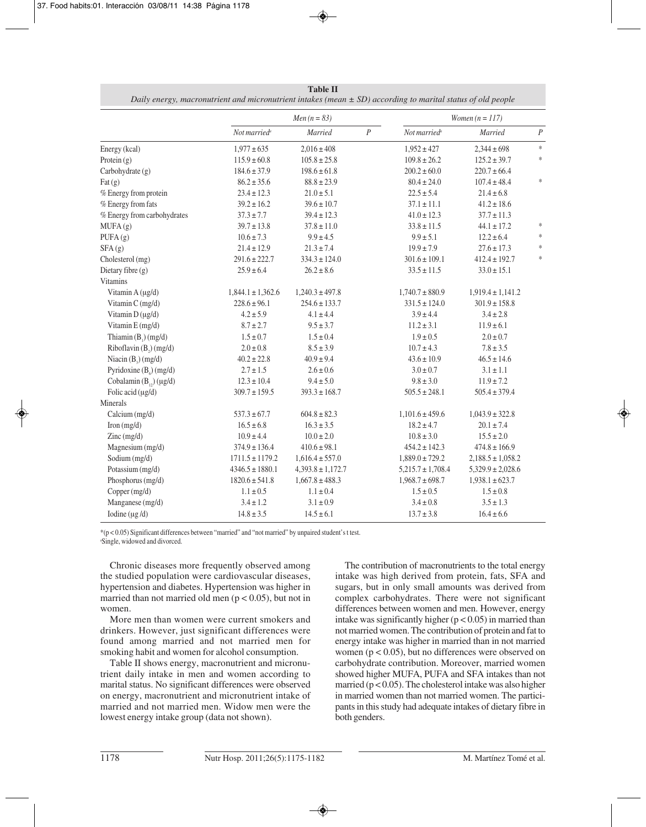|                                          |                          | $Men (n = 83)$        | Women $(n = 117)$ |                          |                       |                |  |  |  |
|------------------------------------------|--------------------------|-----------------------|-------------------|--------------------------|-----------------------|----------------|--|--|--|
|                                          | Not married <sup>a</sup> | Married               | $\cal P$          | Not married <sup>a</sup> | Married               | $\overline{P}$ |  |  |  |
| Energy (kcal)                            | $1,977 \pm 635$          | $2,016 \pm 408$       |                   | $1,952 \pm 427$          | $2,344 \pm 698$       | $\ast$         |  |  |  |
| Protein $(g)$                            | $115.9 \pm 60.8$         | $105.8 \pm 25.8$      |                   | $109.8 \pm 26.2$         | $125.2 \pm 39.7$      | $\ast$         |  |  |  |
| Carbohydrate (g)                         | $184.6 \pm 37.9$         | $198.6 \pm 61.8$      |                   | $200.2 \pm 60.0$         | $220.7 \pm 66.4$      |                |  |  |  |
| $\text{Fat}\left(\text{g}\right)$        | $86.2 \pm 35.6$          | $88.8 \pm 23.9$       |                   | $80.4 \pm 24.0$          | $107.4 \pm 48.4$      | $\ast$         |  |  |  |
| % Energy from protein                    | $23.4 \pm 12.3$          | $21.0 \pm 5.1$        |                   | $22.5 \pm 5.4$           | $21.4 \pm 6.8$        |                |  |  |  |
| % Energy from fats                       | $39.2 \pm 16.2$          | $39.6 \pm 10.7$       |                   | $37.1 \pm 11.1$          | $41.2 \pm 18.6$       |                |  |  |  |
| % Energy from carbohydrates              | $37.3 \pm 7.7$           | $39.4 \pm 12.3$       |                   | $41.0 \pm 12.3$          | $37.7 \pm 11.3$       |                |  |  |  |
| MUFA(g)                                  | $39.7 \pm 13.8$          | $37.8 \pm 11.0$       |                   | $33.8 \pm 11.5$          | $44.1 \pm 17.2$       | $\ast$         |  |  |  |
| PUFA(g)                                  | $10.6 \pm 7.3$           | $9.9 \pm 4.5$         |                   | $9.9 \pm 5.1$            | $12.2 \pm 6.4$        | $\ast$         |  |  |  |
| SFA(g)                                   | $21.4 \pm 12.9$          | $21.3 \pm 7.4$        |                   | $19.9 \pm 7.9$           | $27.6 \pm 17.3$       | $\ast$         |  |  |  |
| Cholesterol (mg)                         | $291.6 \pm 222.7$        | $334.3 \pm 124.0$     |                   | $301.6 \pm 109.1$        | $412.4 \pm 192.7$     | $\ast$         |  |  |  |
| Dietary fibre (g)                        | $25.9 \pm 6.4$           | $26.2 \pm 8.6$        |                   | $33.5 \pm 11.5$          | $33.0 \pm 15.1$       |                |  |  |  |
| Vitamins                                 |                          |                       |                   |                          |                       |                |  |  |  |
| Vitamin A (µg/d)                         | $1,844.1 \pm 1,362.6$    | $1,240.3 \pm 497.8$   |                   | $1,740.7 \pm 880.9$      | $1,919.4 \pm 1,141.2$ |                |  |  |  |
| Vitamin C (mg/d)                         | $228.6 \pm 96.1$         | $254.6 \pm 133.7$     |                   | $331.5 \pm 124.0$        | $301.9 \pm 158.8$     |                |  |  |  |
| Vitamin D (µg/d)                         | $4.2 \pm 5.9$            | $4.1 \pm 4.4$         |                   | $3.9 \pm 4.4$            | $3.4 \pm 2.8$         |                |  |  |  |
| Vitamin E (mg/d)                         | $8.7 \pm 2.7$            | $9.5 \pm 3.7$         |                   | $11.2 \pm 3.1$           | $11.9 \pm 6.1$        |                |  |  |  |
| Thiamin $(B_1)$ (mg/d)                   | $1.5 \pm 0.7$            | $1.5 \pm 0.4$         |                   | $1.9 \pm 0.5$            | $2.0 \pm 0.7$         |                |  |  |  |
| Riboflavin (B,) (mg/d)                   | $2.0 \pm 0.8$            | $8.5 \pm 3.9$         |                   | $10.7 \pm 4.3$           | $7.8 \pm 3.5$         |                |  |  |  |
| Niacin $(B_2)(mg/d)$                     | $40.2 \pm 22.8$          | $40.9 \pm 9.4$        |                   | $43.6 \pm 10.9$          | $46.5 \pm 14.6$       |                |  |  |  |
| Pyridoxine $(B_0)$ (mg/d)                | $2.7 \pm 1.5$            | $2.6 \pm 0.6$         |                   | $3.0 \pm 0.7$            | $3.1 \pm 1.1$         |                |  |  |  |
| Cobalamin $(B_{12}) (\mu g/d)$           | $12.3 \pm 10.4$          | $9.4 \pm 5.0$         |                   | $9.8 \pm 3.0$            | $11.9 \pm 7.2$        |                |  |  |  |
| Folic acid $(\mu g/d)$                   | $309.7 \pm 159.5$        | $393.3 \pm 168.7$     |                   | $505.5 \pm 248.1$        | $505.4 \pm 379.4$     |                |  |  |  |
| Minerals                                 |                          |                       |                   |                          |                       |                |  |  |  |
| Calcium (mg/d)                           | $537.3 \pm 67.7$         | $604.8 \pm 82.3$      |                   | $1,101.6 \pm 459.6$      | $1,043.9 \pm 322.8$   |                |  |  |  |
| Iron $(mg/d)$                            | $16.5 \pm 6.8$           | $16.3 \pm 3.5$        |                   | $18.2 \pm 4.7$           | $20.1 \pm 7.4$        |                |  |  |  |
| $\text{Zinc} \left( \text{mg/d} \right)$ | $10.9 \pm 4.4$           | $10.0 \pm 2.0$        |                   | $10.8 \pm 3.0$           | $15.5 \pm 2.0$        |                |  |  |  |
| Magnesium (mg/d)                         | $374.9 \pm 136.4$        | $410.6 \pm 98.1$      |                   | $454.2 \pm 142.3$        | $474.8 \pm 166.9$     |                |  |  |  |
| Sodium (mg/d)                            | $1711.5 \pm 1179.2$      | $1,616.4 \pm 557.0$   |                   | $1,889.0 \pm 729.2$      | $2,188.5 \pm 1,058.2$ |                |  |  |  |
| Potassium (mg/d)                         | $4346.5 \pm 1880.1$      | $4,393.8 \pm 1,172.7$ |                   | $5,215.7 \pm 1,708.4$    | $5,329.9 \pm 2,028.6$ |                |  |  |  |
| Phosphorus (mg/d)                        | $1820.6 \pm 541.8$       | $1,667.8 \pm 488.3$   |                   | $1,968.7 \pm 698.7$      | $1,938.1 \pm 623.7$   |                |  |  |  |
| Copper (mg/d)                            | $1.1 \pm 0.5$            | $1.1 \pm 0.4$         |                   | $1.5 \pm 0.5$            | $1.5 \pm 0.8$         |                |  |  |  |
| Manganese (mg/d)                         | $3.4 \pm 1.2$            | $3.1 \pm 0.9$         |                   | $3.4 \pm 0.8$            | $3.5 \pm 1.3$         |                |  |  |  |
| Iodine ( $\mu$ g/d)                      | $14.8 \pm 3.5$           | $14.5 \pm 6.1$        |                   | $13.7 \pm 3.8$           | $16.4 \pm 6.6$        |                |  |  |  |

**Table II**

\*(p < 0.05) Significant differences between "married" and "not married" by unpaired student's t test. a Single, widowed and divorced.

Chronic diseases more frequently observed among the studied population were cardiovascular diseases, hypertension and diabetes. Hypertension was higher in married than not married old men ( $p < 0.05$ ), but not in women.

More men than women were current smokers and drinkers. However, just significant differences were found among married and not married men for smoking habit and women for alcohol consumption.

Table II shows energy, macronutrient and micronutrient daily intake in men and women according to marital status. No significant differences were observed on energy, macronutrient and micronutrient intake of married and not married men. Widow men were the lowest energy intake group (data not shown).

The contribution of macronutrients to the total energy intake was high derived from protein, fats, SFA and sugars, but in only small amounts was derived from complex carbohydrates. There were not significant differences between women and men. However, energy intake was significantly higher  $(p < 0.05)$  in married than not married women. The contribution of protein and fat to energy intake was higher in married than in not married women ( $p < 0.05$ ), but no differences were observed on carbohydrate contribution. Moreover, married women showed higher MUFA, PUFA and SFA intakes than not married ( $p < 0.05$ ). The cholesterol intake was also higher in married women than not married women. The participants in this study had adequate intakes of dietary fibre in both genders.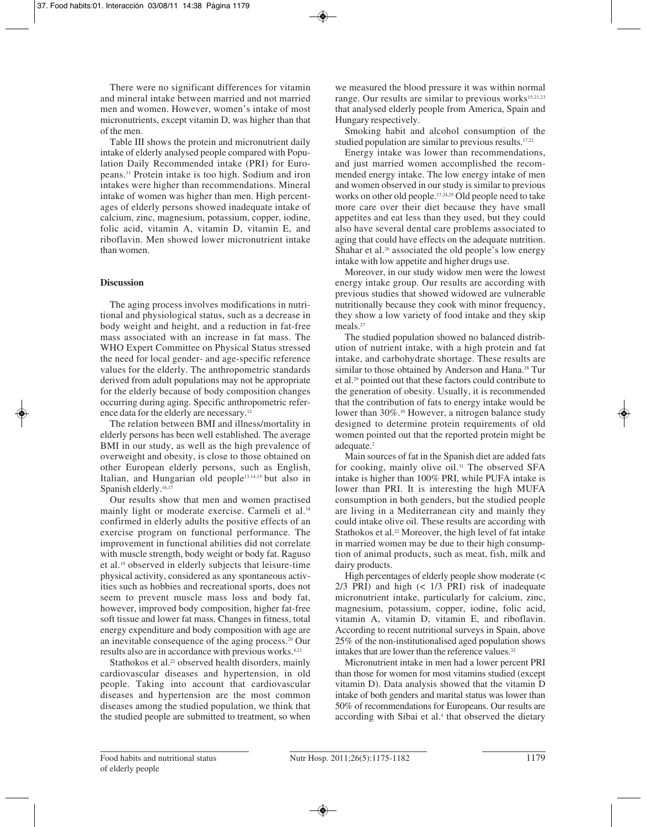There were no significant differences for vitamin and mineral intake between married and not married men and women. However, women's intake of most micronutrients, except vitamin D, was higher than that of the men.

Table III shows the protein and micronutrient daily intake of elderly analysed people compared with Population Daily Recommended intake (PRI) for Europeans.11 Protein intake is too high. Sodium and iron intakes were higher than recommendations. Mineral intake of women was higher than men. High percentages of elderly persons showed inadequate intake of calcium, zinc, magnesium, potassium, copper, iodine, folic acid, vitamin A, vitamin D, vitamin E, and riboflavin. Men showed lower micronutrient intake than women.

## **Discussion**

The aging process involves modifications in nutritional and physiological status, such as a decrease in body weight and height, and a reduction in fat-free mass associated with an increase in fat mass. The WHO Expert Committee on Physical Status stressed the need for local gender- and age-specific reference values for the elderly. The anthropometric standards derived from adult populations may not be appropriate for the elderly because of body composition changes occurring during aging. Specific anthropometric reference data for the elderly are necessary.12

The relation between BMI and illness/mortality in elderly persons has been well established. The average BMI in our study, as well as the high prevalence of overweight and obesity, is close to those obtained on other European elderly persons, such as English, Italian, and Hungarian old people13,14,15 but also in Spanish elderly.<sup>16,17</sup>

Our results show that men and women practised mainly light or moderate exercise. Carmeli et al.<sup>18</sup> confirmed in elderly adults the positive effects of an exercise program on functional performance. The improvement in functional abilities did not correlate with muscle strength, body weight or body fat. Raguso et al.19 observed in elderly subjects that leisure-time physical activity, considered as any spontaneous activities such as hobbies and recreational sports, does not seem to prevent muscle mass loss and body fat, however, improved body composition, higher fat-free soft tissue and lower fat mass. Changes in fitness, total energy expenditure and body composition with age are an inevitable consequence of the aging process.20 Our results also are in accordance with previous works.4,21

Stathokos et al.<sup>22</sup> observed health disorders, mainly cardiovascular diseases and hypertension, in old people. Taking into account that cardiovascular diseases and hypertension are the most common diseases among the studied population, we think that the studied people are submitted to treatment, so when we measured the blood pressure it was within normal range. Our results are similar to previous works<sup>15,21,23</sup> that analysed elderly people from America, Spain and Hungary respectively.

Smoking habit and alcohol consumption of the studied population are similar to previous results.<sup>17,22</sup>

Energy intake was lower than recommendations, and just married women accomplished the recommended energy intake. The low energy intake of men and women observed in our study is similar to previous works on other old people.17,24,25 Old people need to take more care over their diet because they have small appetites and eat less than they used, but they could also have several dental care problems associated to aging that could have effects on the adequate nutrition. Shahar et al.<sup>26</sup> associated the old people's low energy intake with low appetite and higher drugs use.

Moreover, in our study widow men were the lowest energy intake group. Our results are according with previous studies that showed widowed are vulnerable nutritionally because they cook with minor frequency, they show a low variety of food intake and they skip meals.<sup>27</sup>

The studied population showed no balanced distribution of nutrient intake, with a high protein and fat intake, and carbohydrate shortage. These results are similar to those obtained by Anderson and Hana.<sup>28</sup> Tur et al.29 pointed out that these factors could contribute to the generation of obesity. Usually, it is recommended that the contribution of fats to energy intake would be lower than 30%.<sup>30</sup> However, a nitrogen balance study designed to determine protein requirements of old women pointed out that the reported protein might be adequate.<sup>2</sup>

Main sources of fat in the Spanish diet are added fats for cooking, mainly olive oil.<sup>31</sup> The observed SFA intake is higher than 100% PRI, while PUFA intake is lower than PRI. It is interesting the high MUFA consumption in both genders, but the studied people are living in a Mediterranean city and mainly they could intake olive oil. These results are according with Stathokos et al.<sup>22</sup> Moreover, the high level of fat intake in married women may be due to their high consumption of animal products, such as meat, fish, milk and dairy products.

High percentages of elderly people show moderate (< 2/3 PRI) and high (< 1/3 PRI) risk of inadequate micronutrient intake, particularly for calcium, zinc, magnesium, potassium, copper, iodine, folic acid, vitamin A, vitamin D, vitamin E, and riboflavin. According to recent nutritional surveys in Spain, above 25% of the non-institutionalised aged population shows intakes that are lower than the reference values.<sup>32</sup>

Micronutrient intake in men had a lower percent PRI than those for women for most vitamins studied (except vitamin D). Data analysis showed that the vitamin D intake of both genders and marital status was lower than 50% of recommendations for Europeans. Our results are according with Sibai et al.<sup>4</sup> that observed the dietary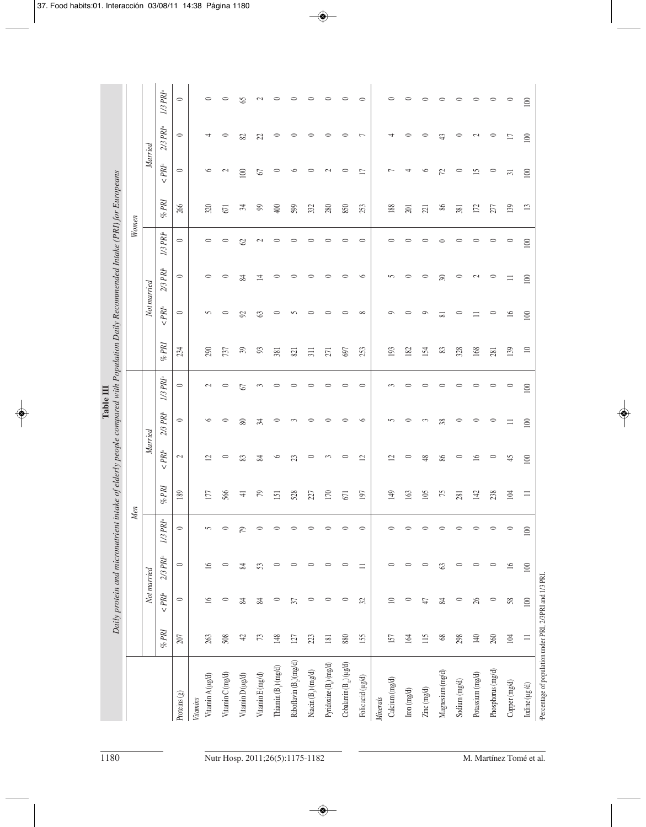|            |             | $1/3$ $PRI^a$    | $\circ$                  |                 | $\circ$          | $\circ$          | \$                 | $\mathfrak{g}$   | $\circ$                          | $\circ$                            | $\circ$                                | $\circ$                             | $\circ$                        | $\circ$           | $\circ$                           | $\circ$                      | $\circ$       | $\circ$             | $\circ$       | $\circ$          | $\circ$           | $\circ$         | 100            |
|------------|-------------|------------------|--------------------------|-----------------|------------------|------------------|--------------------|------------------|----------------------------------|------------------------------------|----------------------------------------|-------------------------------------|--------------------------------|-------------------|-----------------------------------|------------------------------|---------------|---------------------|---------------|------------------|-------------------|-----------------|----------------|
|            | Married     | $2/3$ $PRa$      | $\circ$                  |                 | ᆉ                | $\circ$          | 82                 | Z                | $\circ$                          | $\circ$                            | $\circ$                                | $\circ$                             | $\circ$                        | $\overline{ }$    | 4                                 | $\circ$                      | $\circ$       | $\ddot{+}$          | $\circ$       | $\mathfrak{g}$   | $\circ$           | $\Box$          | 100            |
|            |             | $\langle$ PRIa   | $\circ$                  |                 | $\circ$          | $\mathbf{\sim}$  | 100                | 67               | $\circ$                          | $\circ$                            | $\circ$                                | $\mathbf{C}$                        | $\circ$                        | $\Box$            | $\overline{ }$                    | 4                            | $\circ$       | 72                  | $\circ$       | 15               | $\circ$           | $\overline{31}$ | 100            |
|            |             | %PRI             | 266                      |                 | 320              | 671              | 54                 | 99               | $rac{400}{50}$                   | 599                                | 332                                    | 280                                 | 850                            | 253               | 188                               | 201                          | 221           | 86                  | 381           | 172              | 277               | 139             | $\mathbf{13}$  |
| Women      |             | $1/3$ $PRa$      | $\circ$                  |                 | 0                | $\circ$          | $\infty$           | $\mathcal{L}$    | 0                                | 0                                  | 0                                      | $\circ$                             | $\circ$                        | $\circ$           | $\circ$                           | ⊂                            | 0             | 0                   | $\circ$       | 0                | 0                 | $\circ$         | 100            |
|            | Not married | $2/3$ $PRk$      | $\circ$                  |                 | 0                | $\circ$          | 24                 | 立                | $\circ$                          | 0                                  | 0                                      | 0                                   | $\circ$                        | $\circ$           | $\sim$                            | $\circ$                      | $\circ$       | $\approx$           | $\circ$       | $\mathfrak{g}$   | $\circ$           | $\equiv$        | 100            |
|            |             | $\langle PR^a$   | $\circ$                  |                 | 5                | $\circ$          | $\infty$           | 63               | $\circ$                          | S                                  | $\circ$                                | $\circ$                             | $\circ$                        | $\infty$          | $\circ$                           | $\circ$                      | $\circ$       | $\overline{\infty}$ | $\circ$       | $\equiv$         | $\circ$           | $\geq$          | 100            |
|            |             | %PRI             | 234                      |                 | 290              | 737              | $\mathfrak{H}$     | 93               | 381                              | 821                                | 311                                    | 271                                 | 697                            | 253               | 193                               | 182                          | 154           | 83                  | 328           | 168              | 281               | 139             | $\equiv$       |
|            |             | $I/3$ $PRI^a$    | $\circ$                  |                 | $\mathfrak{g}$   | $\circ$          | 67                 | 3                | $\circ$                          | $\circ$                            | $\circ$                                | $\circ$                             | $\circ$                        | $\circ$           | 3                                 | $\circ$                      | $\circ$       | $\circ$             | $\circ$       | $\circ$          | $\circ$           | $\circ$         | 100            |
|            |             | $2/3$ $PRk$      | $\circ$                  |                 | $\circ$          | $\circ$          | $\infty$           | ≭                | $\circ$                          | 3                                  | 0                                      | $\circ$                             | $\circ$                        | $\circ$           | S                                 | $\circ$                      | 3             | 38                  | $\circ$       | $\circ$          | $\circ$           | $\equiv$        | 100            |
|            | Married     | $\langle PR^a$   | $\overline{\mathcal{C}}$ |                 | $\mathbf{r}$     | $\circ$          | 83                 | $\approx$        | $\circ$                          | 23                                 | $\circ$                                | 3                                   | $\circ$                        | $\overline{c}$    | $\overline{c}$                    | $\circ$                      | $\frac{8}{3}$ | $98$                | $\circ$       | $\geq$           | $\circ$           | 45              | 100            |
|            |             | %PRI             | 189                      |                 | 177              | 566              | $\rightleftarrows$ | $\mathcal{L}$    | 151                              | 528                                | 27                                     | 170                                 | 671                            | 197               | 149                               | 163                          | 105           | 75                  | 281           | 142              | 238               | 104             | $\equiv$       |
| <b>Men</b> |             | $I\!/\!3\,PRI^a$ | $\circ$                  |                 | 5                |                  | 79                 | 0                |                                  |                                    |                                        |                                     |                                | $\circ$           |                                   |                              |               |                     |               | $\circ$          | $\circ$           | $\circ$         | 100            |
|            |             | $2/3$ $PRa$      | $\circ$                  |                 | $\overline{16}$  | $\circ$          | $\approx$          | 53               | $\circ$                          | $\circ$                            | $\circ$                                | $\circ$                             | $\circ$                        | $\equiv$          | $\circ$                           | 0                            | $\circ$       | $\mathfrak{S}$      | $\circ$       | $\circ$          | $\circ$           | 16              | $100\,$        |
|            | Not married | $\langle PR^a$   | $\circ$                  |                 | $\geq$           | $\circ$          | $\approx$          | $\approx$        | $\circ$                          | 57                                 | $\circ$                                | $\circ$                             | $\circ$                        | $\mathfrak{L}$    | $\supseteq$                       | $\circ$                      | $\downarrow$  | $\approx$           | $\circ$       | 26               | $\circ$           | 58              | $100\,$        |
|            |             | %PRI             | 207                      |                 | 263              | 508              | $\ddot{ }$         | 73               | 148                              | 127                                | 23                                     | 181                                 | 880                            | 155               | 157                               | 164                          | 115           | $68\,$              | 298           | 140              | 260               | 104             | $\equiv$       |
|            |             |                  | Proteins (g)             | <b>Vitamins</b> | Vitamin A (µg/d) | Vitamin C (mg/d) | Vitamin D (µg/d)   | Vitamin E (mg/d) | Thiamin (B <sub>1</sub> ) (mg/d) | Riboflavin (B <sub>2</sub> )(mg/d) | Niacin $(\mathbb{B}_{\hat{y}})$ (mg/d) | Pyridoxine (B <sub>a</sub> ) (mg/d) | Cobalamin $(B_{12}) (\mu g/d)$ | Folic acid (µg/d) | Calcium (mg/d)<br><b>Minerals</b> | $\mbox{Iron}\,(\mbox{mg/d})$ | Zinc (mg/d)   | Magnesium (mg/d)    | Sodium (mg/d) | Potassium (mg/d) | Phosphorus (mg/d) | Copper (mg/d)   | Iodine (µg /d) |

 $\mathbb{R}^2$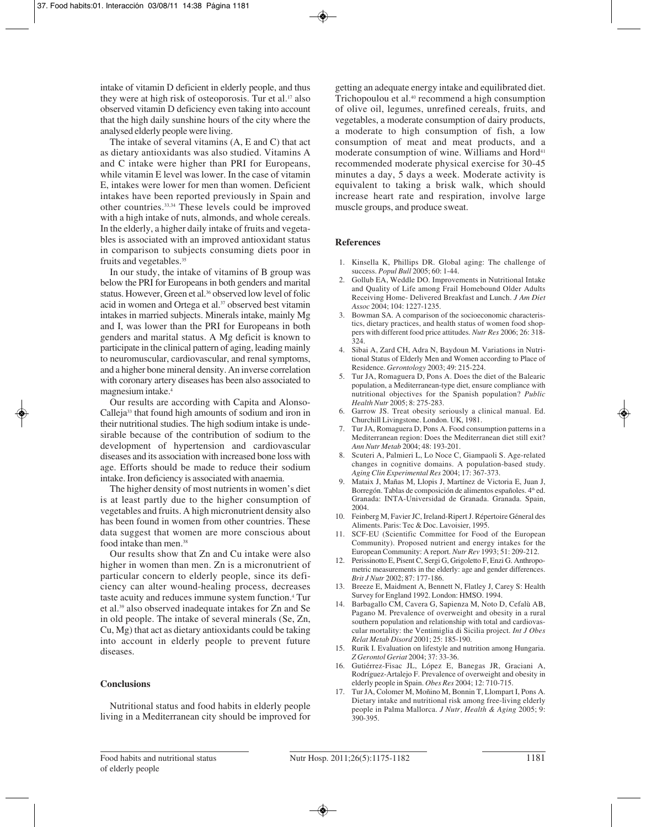intake of vitamin D deficient in elderly people, and thus they were at high risk of osteoporosis. Tur et al.<sup>17</sup> also observed vitamin D deficiency even taking into account that the high daily sunshine hours of the city where the analysed elderly people were living.

The intake of several vitamins (A, E and C) that act as dietary antioxidants was also studied. Vitamins A and C intake were higher than PRI for Europeans, while vitamin E level was lower. In the case of vitamin E, intakes were lower for men than women. Deficient intakes have been reported previously in Spain and other countries.33,34 These levels could be improved with a high intake of nuts, almonds, and whole cereals. In the elderly, a higher daily intake of fruits and vegetables is associated with an improved antioxidant status in comparison to subjects consuming diets poor in fruits and vegetables.<sup>35</sup>

In our study, the intake of vitamins of B group was below the PRI for Europeans in both genders and marital status. However, Green et al.<sup>36</sup> observed low level of folic acid in women and Ortega et al.<sup>37</sup> observed best vitamin intakes in married subjects. Minerals intake, mainly Mg and I, was lower than the PRI for Europeans in both genders and marital status. A Mg deficit is known to participate in the clinical pattern of aging, leading mainly to neuromuscular, cardiovascular, and renal symptoms, and a higher bone mineral density. An inverse correlation with coronary artery diseases has been also associated to magnesium intake.4

Our results are according with Capita and Alonso-Calleja33 that found high amounts of sodium and iron in their nutritional studies. The high sodium intake is undesirable because of the contribution of sodium to the development of hypertension and cardiovascular diseases and its association with increased bone loss with age. Efforts should be made to reduce their sodium intake. Iron deficiency is associated with anaemia.

The higher density of most nutrients in women's diet is at least partly due to the higher consumption of vegetables and fruits. A high micronutrient density also has been found in women from other countries. These data suggest that women are more conscious about food intake than men.38

Our results show that Zn and Cu intake were also higher in women than men. Zn is a micronutrient of particular concern to elderly people, since its deficiency can alter wound-healing process, decreases taste acuity and reduces immune system function.4 Tur et al.39 also observed inadequate intakes for Zn and Se in old people. The intake of several minerals (Se, Zn, Cu, Mg) that act as dietary antioxidants could be taking into account in elderly people to prevent future diseases.

#### **Conclusions**

Nutritional status and food habits in elderly people living in a Mediterranean city should be improved for

getting an adequate energy intake and equilibrated diet. Trichopoulou et al.40 recommend a high consumption of olive oil, legumes, unrefined cereals, fruits, and vegetables, a moderate consumption of dairy products, a moderate to high consumption of fish, a low consumption of meat and meat products, and a moderate consumption of wine. Williams and Hord<sup>41</sup> recommended moderate physical exercise for 30-45 minutes a day, 5 days a week. Moderate activity is equivalent to taking a brisk walk, which should increase heart rate and respiration, involve large muscle groups, and produce sweat.

#### **References**

- 1. Kinsella K, Phillips DR. Global aging: The challenge of success. *Popul Bull* 2005; 60: 1-44.
- 2. Gollub EA, Weddle DO. Improvements in Nutritional Intake and Quality of Life among Frail Homebound Older Adults Receiving Home- Delivered Breakfast and Lunch. *J Am Diet Assoc* 2004; 104: 1227-1235.
- 3. Bowman SA. A comparison of the socioeconomic characteristics, dietary practices, and health status of women food shoppers with different food price attitudes. *Nutr Res* 2006; 26: 318- 324.
- 4. Sibai A, Zard CH, Adra N, Baydoun M. Variations in Nutritional Status of Elderly Men and Women according to Place of Residence. *Gerontology* 2003; 49: 215-224.
- 5. Tur JA, Romaguera D, Pons A. Does the diet of the Balearic population, a Mediterranean-type diet, ensure compliance with nutritional objectives for the Spanish population? *Public Health Nutr* 2005; 8: 275-283.
- 6. Garrow JS. Treat obesity seriously a clinical manual. Ed. Churchill Livingstone. London. UK, 1981.
- 7. Tur JA, Romaguera D, Pons A. Food consumption patterns in a Mediterranean region: Does the Mediterranean diet still exit? *Ann Nutr Metab* 2004; 48: 193-201.
- 8. Scuteri A, Palmieri L, Lo Noce C, Giampaoli S. Age-related changes in cognitive domains. A population-based study. *Aging Clin Experimental Res* 2004; 17: 367-373.
- 9. Mataix J, Mañas M, Llopis J, Martínez de Victoria E, Juan J, Borregón. Tablas de composición de alimentos españoles. 4<sup>th</sup> ed. Granada: INTA-Universidad de Granada. Granada. Spain, 2004.
- 10. Feinberg M, Favier JC, Ireland-Ripert J. Répertoire Géneral des Aliments. Paris: Tec & Doc. Lavoisier, 1995.
- 11. SCF-EU (Scientific Committee for Food of the European Community). Proposed nutrient and energy intakes for the European Community: A report. *Nutr Rev* 1993; 51: 209-212.
- 12. Perissinotto E, Pisent C, Sergi G, Grigoletto F, Enzi G. Anthropometric measurements in the elderly: age and gender differences. *Brit J Nutr* 2002; 87: 177-186.
- 13. Breeze E, Maidment A, Bennett N, Flatley J, Carey S: Health Survey for England 1992. London: HMSO. 1994.
- 14. Barbagallo CM, Cavera G, Sapienza M, Noto D, Cefalù AB, Pagano M. Prevalence of overweight and obesity in a rural southern population and relationship with total and cardiovascular mortality: the Ventimiglia di Sicilia project. *Int J Obes Relat Metab Disord* 2001; 25: 185-190.
- 15. Rurik I. Evaluation on lifestyle and nutrition among Hungaria. *Z Gerontol Geriat* 2004; 37: 33-36.
- 16. Gutiérrez-Fisac JL, López E, Banegas JR, Graciani A, Rodríguez-Artalejo F. Prevalence of overweight and obesity in elderly people in Spain. *Obes Res* 2004; 12: 710-715.
- 17. Tur JA, Colomer M, Moñino M, Bonnin T, Llompart I, Pons A. Dietary intake and nutritional risk among free-living elderly people in Palma Mallorca. *J Nutr, Health & Aging* 2005; 9: 390-395.